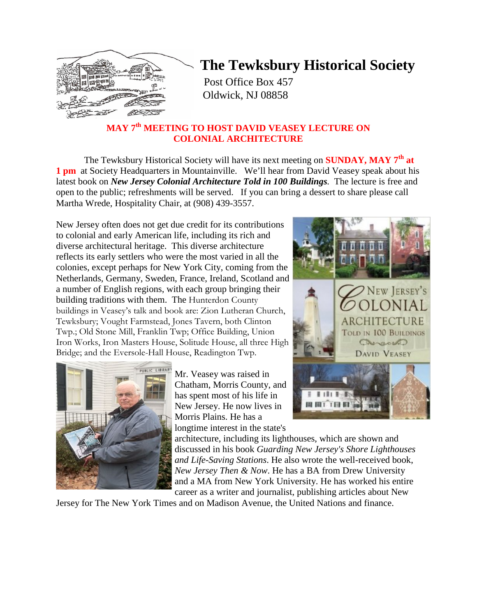

## **The Tewksbury Historical Society**

Post Office Box 457 Oldwick, NJ 08858

### **MAY 7th MEETING TO HOST DAVID VEASEY LECTURE ON COLONIAL ARCHITECTURE**

The Tewksbury Historical Society will have its next meeting on **SUNDAY, MAY 7th at 1 pm** at Society Headquarters in Mountainville. We'll hear from David Veasey speak about his latest book on *New Jersey Colonial Architecture Told in 100 Buildings.* The lecture is free and open to the public; refreshments will be served. If you can bring a dessert to share please call Martha Wrede, Hospitality Chair, at (908) 439-3557.

New Jersey often does not get due credit for its contributions to colonial and early American life, including its rich and diverse architectural heritage. This diverse architecture reflects its early settlers who were the most varied in all the colonies, except perhaps for New York City, coming from the Netherlands, Germany, Sweden, France, Ireland, Scotland and a number of English regions, with each group bringing their building traditions with them. The Hunterdon County buildings in Veasey's talk and book are: Zion Lutheran Church, Tewksbury; Vought Farmstead, Jones Tavern, both Clinton Twp.; Old Stone Mill, Franklin Twp; Office Building, Union Iron Works, Iron Masters House, Solitude House, all three High Bridge; and the Eversole-Hall House, Readington Twp.



Mr. Veasey was raised in Chatham, Morris County, and has spent most of his life in New Jersey. He now lives in Morris Plains. He has a longtime interest in the state's



architecture, including its lighthouses, which are shown and discussed in his book *Guarding New Jersey's Shore Lighthouses and Life-Saving Stations*. He also wrote the well-received book, *New Jersey Then & Now*. He has a BA from Drew University and a MA from New York University. He has worked his entire career as a writer and journalist, publishing articles about New

Jersey for The New York Times and on Madison Avenue, the United Nations and finance.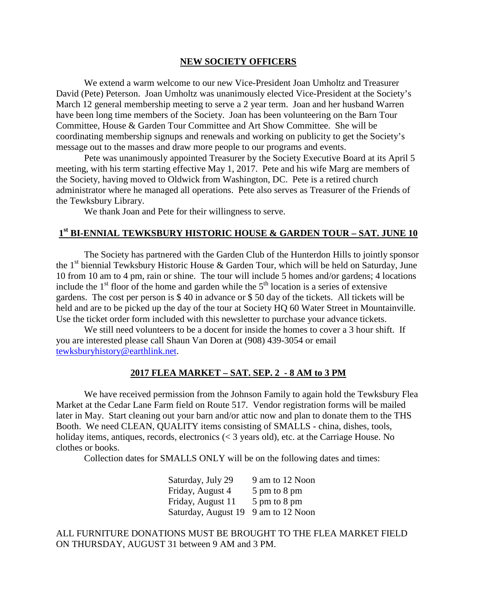#### **NEW SOCIETY OFFICERS**

We extend a warm welcome to our new Vice-President Joan Umholtz and Treasurer David (Pete) Peterson. Joan Umholtz was unanimously elected Vice-President at the Society's March 12 general membership meeting to serve a 2 year term. Joan and her husband Warren have been long time members of the Society. Joan has been volunteering on the Barn Tour Committee, House & Garden Tour Committee and Art Show Committee. She will be coordinating membership signups and renewals and working on publicity to get the Society's message out to the masses and draw more people to our programs and events.

Pete was unanimously appointed Treasurer by the Society Executive Board at its April 5 meeting, with his term starting effective May 1, 2017. Pete and his wife Marg are members of the Society, having moved to Oldwick from Washington, DC. Pete is a retired church administrator where he managed all operations. Pete also serves as Treasurer of the Friends of the Tewksbury Library.

We thank Joan and Pete for their willingness to serve.

## **1st BI-ENNIAL TEWKSBURY HISTORIC HOUSE & GARDEN TOUR – SAT. JUNE 10**

The Society has partnered with the Garden Club of the Hunterdon Hills to jointly sponsor the  $1<sup>st</sup>$  biennial Tewksbury Historic House & Garden Tour, which will be held on Saturday, June 10 from 10 am to 4 pm, rain or shine. The tour will include 5 homes and/or gardens; 4 locations include the  $1<sup>st</sup>$  floor of the home and garden while the  $5<sup>th</sup>$  location is a series of extensive gardens. The cost per person is \$ 40 in advance or \$ 50 day of the tickets. All tickets will be held and are to be picked up the day of the tour at Society HQ 60 Water Street in Mountainville. Use the ticket order form included with this newsletter to purchase your advance tickets.

We still need volunteers to be a docent for inside the homes to cover a 3 hour shift. If you are interested please call Shaun Van Doren at (908) 439-3054 or email [tewksburyhistory@earthlink.net.](mailto:tewksburyhistory@earthlink.net)

#### **2017 FLEA MARKET – SAT. SEP. 2 - 8 AM to 3 PM**

We have received permission from the Johnson Family to again hold the Tewksbury Flea Market at the Cedar Lane Farm field on Route 517. Vendor registration forms will be mailed later in May. Start cleaning out your barn and/or attic now and plan to donate them to the THS Booth. We need CLEAN, QUALITY items consisting of SMALLS - china, dishes, tools, holiday items, antiques, records, electronics (< 3 years old), etc. at the Carriage House. No clothes or books.

Collection dates for SMALLS ONLY will be on the following dates and times:

| Saturday, July 29   | 9 am to 12 Noon |
|---------------------|-----------------|
| Friday, August 4    | 5 pm to 8 pm    |
| Friday, August 11   | 5 pm to 8 pm    |
| Saturday, August 19 | 9 am to 12 Noon |

ALL FURNITURE DONATIONS MUST BE BROUGHT TO THE FLEA MARKET FIELD ON THURSDAY, AUGUST 31 between 9 AM and 3 PM.